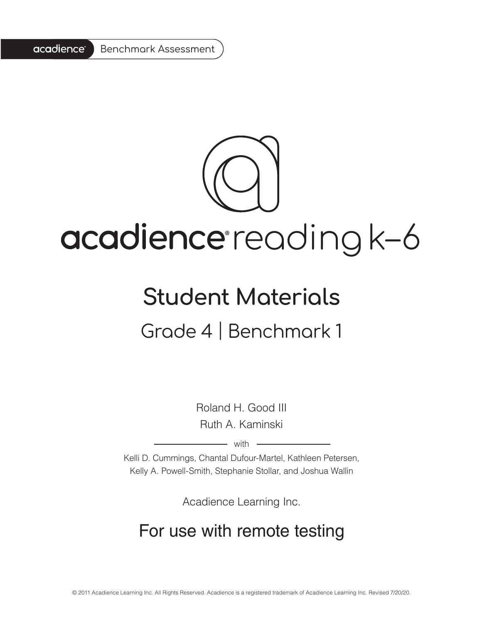

# acadience reading k-6

## **Student Materials**

### Grade 4 | Benchmark 1

Roland H. Good III Ruth A. Kaminski

 $-$  with  $-$ 

Kelli D. Cummings, Chantal Dufour-Martel, Kathleen Petersen, Kelly A. Powell-Smith, Stephanie Stollar, and Joshua Wallin

Acadience Learning Inc.

#### For use with remote testing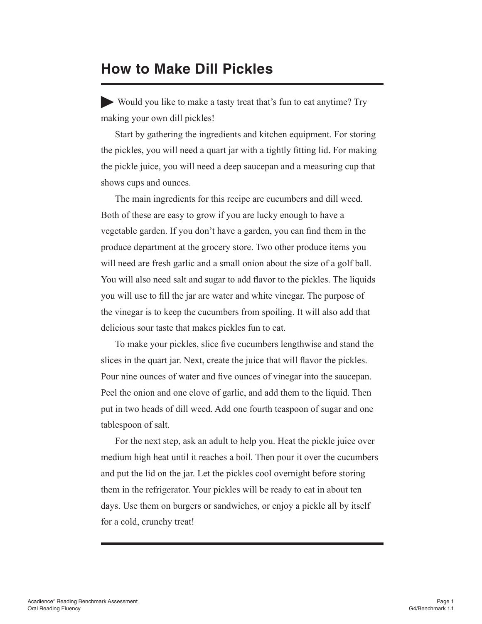#### **How to Make Dill Pickles**

Would you like to make a tasty treat that's fun to eat anytime? Try making your own dill pickles!

Start by gathering the ingredients and kitchen equipment. For storing the pickles, you will need a quart jar with a tightly fitting lid. For making the pickle juice, you will need a deep saucepan and a measuring cup that shows cups and ounces.

The main ingredients for this recipe are cucumbers and dill weed. Both of these are easy to grow if you are lucky enough to have a vegetable garden. If you don't have a garden, you can find them in the produce department at the grocery store. Two other produce items you will need are fresh garlic and a small onion about the size of a golf ball. You will also need salt and sugar to add flavor to the pickles. The liquids you will use to fill the jar are water and white vinegar. The purpose of the vinegar is to keep the cucumbers from spoiling. It will also add that delicious sour taste that makes pickles fun to eat.

To make your pickles, slice five cucumbers lengthwise and stand the slices in the quart jar. Next, create the juice that will flavor the pickles. Pour nine ounces of water and five ounces of vinegar into the saucepan. Peel the onion and one clove of garlic, and add them to the liquid. Then put in two heads of dill weed. Add one fourth teaspoon of sugar and one tablespoon of salt.

For the next step, ask an adult to help you. Heat the pickle juice over medium high heat until it reaches a boil. Then pour it over the cucumbers and put the lid on the jar. Let the pickles cool overnight before storing them in the refrigerator. Your pickles will be ready to eat in about ten days. Use them on burgers or sandwiches, or enjoy a pickle all by itself for a cold, crunchy treat!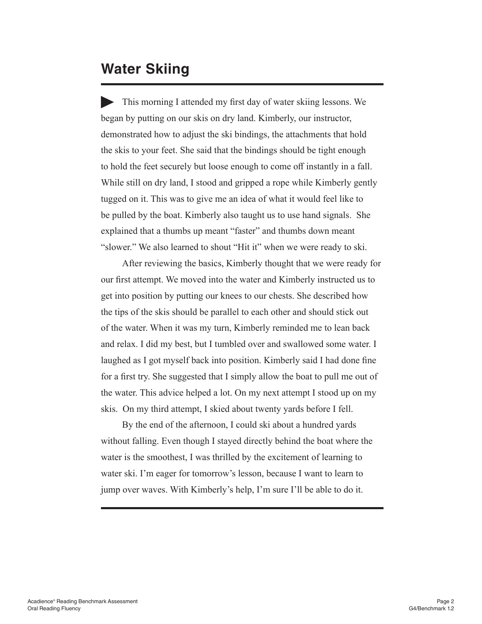#### **Water Skiing**

This morning I attended my first day of water skiing lessons. We began by putting on our skis on dry land. Kimberly, our instructor, demonstrated how to adjust the ski bindings, the attachments that hold the skis to your feet. She said that the bindings should be tight enough to hold the feet securely but loose enough to come off instantly in a fall. While still on dry land, I stood and gripped a rope while Kimberly gently tugged on it. This was to give me an idea of what it would feel like to be pulled by the boat. Kimberly also taught us to use hand signals. She explained that a thumbs up meant "faster" and thumbs down meant "slower." We also learned to shout "Hit it" when we were ready to ski.

After reviewing the basics, Kimberly thought that we were ready for our first attempt. We moved into the water and Kimberly instructed us to get into position by putting our knees to our chests. She described how the tips of the skis should be parallel to each other and should stick out of the water. When it was my turn, Kimberly reminded me to lean back and relax. I did my best, but I tumbled over and swallowed some water. I laughed as I got myself back into position. Kimberly said I had done fine for a first try. She suggested that I simply allow the boat to pull me out of the water. This advice helped a lot. On my next attempt I stood up on my skis. On my third attempt, I skied about twenty yards before I fell.

By the end of the afternoon, I could ski about a hundred yards without falling. Even though I stayed directly behind the boat where the water is the smoothest, I was thrilled by the excitement of learning to water ski. I'm eager for tomorrow's lesson, because I want to learn to jump over waves. With Kimberly's help, I'm sure I'll be able to do it.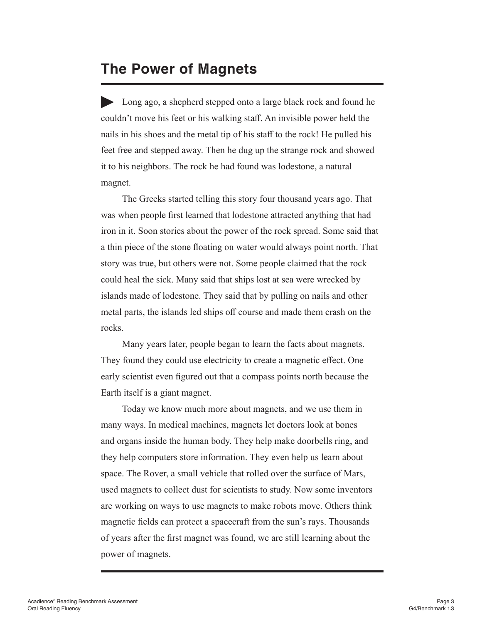#### **The Power of Magnets**

Long ago, a shepherd stepped onto a large black rock and found he couldn't move his feet or his walking staff. An invisible power held the nails in his shoes and the metal tip of his staff to the rock! He pulled his feet free and stepped away. Then he dug up the strange rock and showed it to his neighbors. The rock he had found was lodestone, a natural magnet.

The Greeks started telling this story four thousand years ago. That was when people first learned that lodestone attracted anything that had iron in it. Soon stories about the power of the rock spread. Some said that a thin piece of the stone floating on water would always point north. That story was true, but others were not. Some people claimed that the rock could heal the sick. Many said that ships lost at sea were wrecked by islands made of lodestone. They said that by pulling on nails and other metal parts, the islands led ships off course and made them crash on the rocks.

Many years later, people began to learn the facts about magnets. They found they could use electricity to create a magnetic effect. One early scientist even figured out that a compass points north because the Earth itself is a giant magnet.

Today we know much more about magnets, and we use them in many ways. In medical machines, magnets let doctors look at bones and organs inside the human body. They help make doorbells ring, and they help computers store information. They even help us learn about space. The Rover, a small vehicle that rolled over the surface of Mars, used magnets to collect dust for scientists to study. Now some inventors are working on ways to use magnets to make robots move. Others think magnetic fields can protect a spacecraft from the sun's rays. Thousands of years after the first magnet was found, we are still learning about the power of magnets.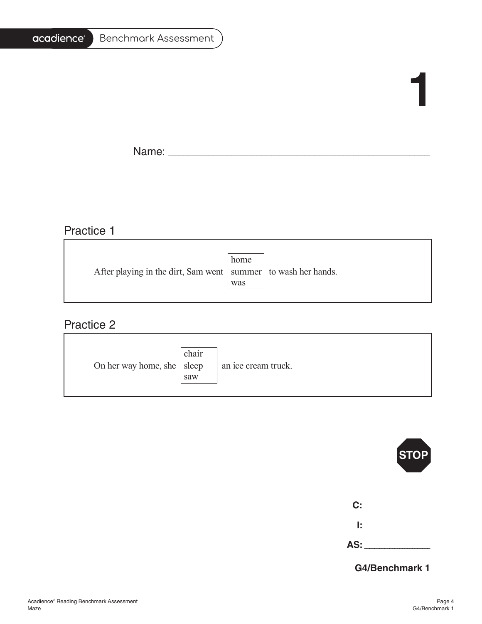#### acadience<sup>®</sup> Benchmark Assessment

# **1**

F

Name: \_\_\_\_\_\_\_\_\_\_\_\_\_\_\_\_\_\_\_\_\_\_\_\_\_\_\_\_\_\_\_\_\_\_\_\_\_\_\_\_\_\_\_\_\_\_\_\_\_\_\_\_\_\_\_\_\_\_\_\_\_\_\_\_\_\_\_\_\_\_\_\_\_\_\_\_\_\_\_\_\_\_\_\_\_\_\_\_\_\_\_\_\_\_\_\_\_\_\_\_\_\_\_

<u> 1989 - Johann Stoff, deutscher Stoffen und der Stoffen und der Stoffen und der Stoffen und der Stoffen und der</u>

#### Practice 1

|                                                                   | home |  |
|-------------------------------------------------------------------|------|--|
| After playing in the dirt, Sam went   summer   to wash her hands. |      |  |
|                                                                   | was  |  |
|                                                                   |      |  |

#### Practice 2

| On her way home, she   sleep | chair<br>saw | an ice cream truck. |
|------------------------------|--------------|---------------------|
|------------------------------|--------------|---------------------|



**AS:** \_\_\_\_\_\_\_\_\_\_\_\_\_\_\_\_\_\_\_\_\_\_\_\_\_\_

**G4/Benchmark 1**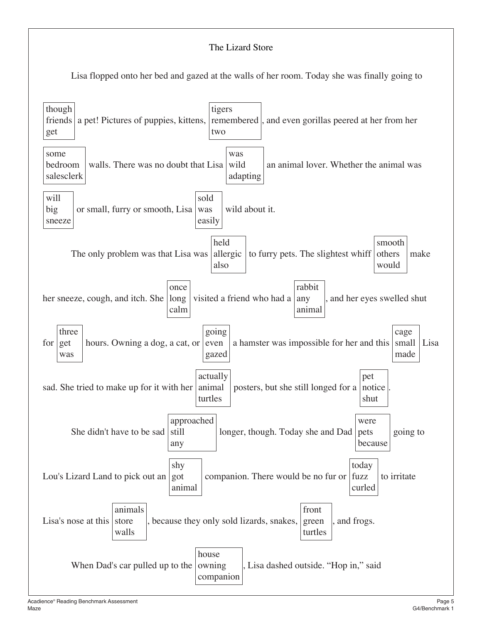#### The Lizard Store

Lisa flopped onto her bed and gazed at the walls of her room. Today she was finally going to

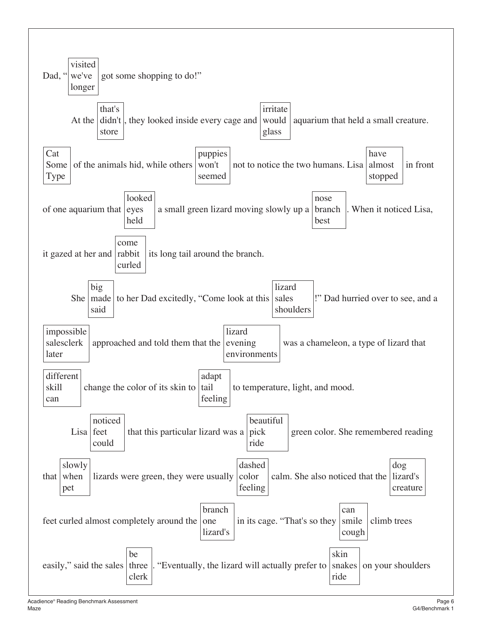